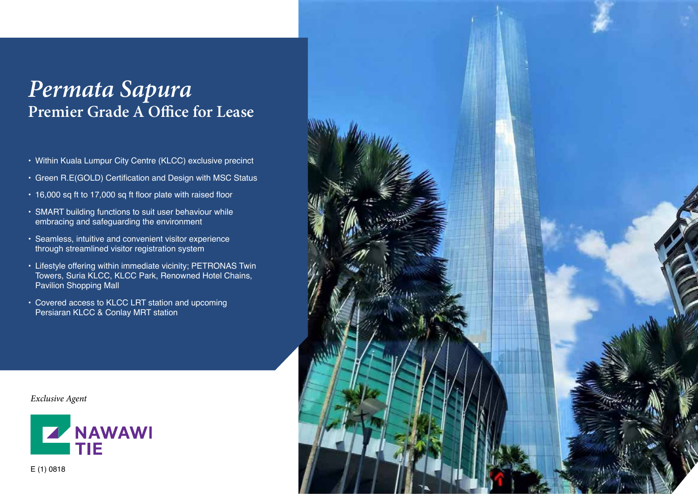# *Permata Sapura* **Premier Grade A Office for Lease**

- Within Kuala Lumpur City Centre (KLCC) exclusive precinct
- Green R.E(GOLD) Certification and Design with MSC Status
- 16,000 sq ft to 17,000 sq ft floor plate with raised floor
- SMART building functions to suit user behaviour while embracing and safeguarding the environment
- Seamless, intuitive and convenient visitor experience through streamlined visitor registration system
- Lifestyle offering within immediate vicinity; PETRONAS Twin Towers, Suria KLCC, KLCC Park, Renowned Hotel Chains, Pavilion Shopping Mall
- Covered access to KLCC LRT station and upcoming Persiaran KLCC & Conlay MRT station

*Exclusive Agent*





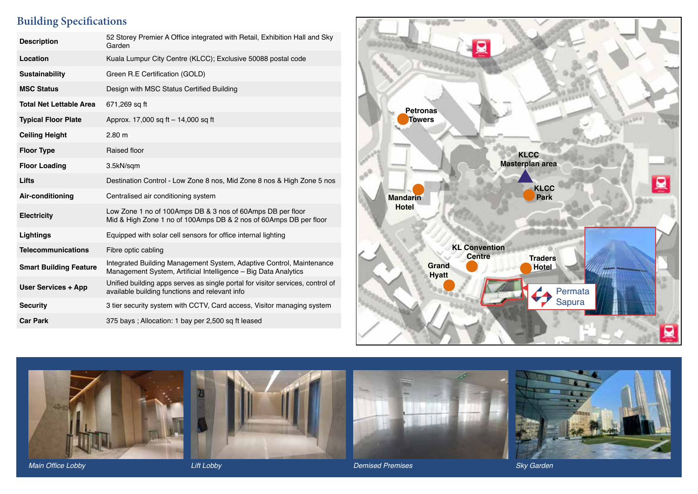# **Building Specifications**

| <b>Description</b>             | 52 Storey Premier A Office integrated with Retail, Exhibition Hall and Sky<br>Garden                                                    |
|--------------------------------|-----------------------------------------------------------------------------------------------------------------------------------------|
| Location                       | Kuala Lumpur City Centre (KLCC); Exclusive 50088 postal code                                                                            |
| <b>Sustainability</b>          | Green R.E Certification (GOLD)                                                                                                          |
| <b>MSC Status</b>              | Design with MSC Status Certified Building                                                                                               |
| <b>Total Net Lettable Area</b> | 671,269 sq ft                                                                                                                           |
| <b>Typical Floor Plate</b>     | Approx. 17,000 sq ft $-$ 14,000 sq ft                                                                                                   |
| <b>Ceiling Height</b>          | $2,80 \; \text{m}$                                                                                                                      |
| <b>Floor Type</b>              | Raised floor                                                                                                                            |
| <b>Floor Loading</b>           | 3.5kN/sqm                                                                                                                               |
| Lifts                          | Destination Control - Low Zone 8 nos, Mid Zone 8 nos & High Zone 5 nos                                                                  |
| Air-conditioning               | Centralised air conditioning system                                                                                                     |
| <b>Electricity</b>             | Low Zone 1 no of 100Amps DB & 3 nos of 60Amps DB per floor<br>Mid & High Zone 1 no of 100Amps DB & 2 nos of 60Amps DB per floor         |
| Lightings                      | Equipped with solar cell sensors for office internal lighting                                                                           |
| <b>Telecommunications</b>      | Fibre optic cabling                                                                                                                     |
| <b>Smart Building Feature</b>  | Integrated Building Management System, Adaptive Control, Maintenance<br>Management System, Artificial Intelligence - Big Data Analytics |
| <b>User Services + App</b>     | Unified building apps serves as single portal for visitor services, control of<br>available building functions and relevant info        |
| <b>Security</b>                | 3 tier security system with CCTV, Card access, Visitor managing system                                                                  |
| <b>Car Park</b>                | 375 bays; Allocation: 1 bay per 2,500 sq ft leased                                                                                      |